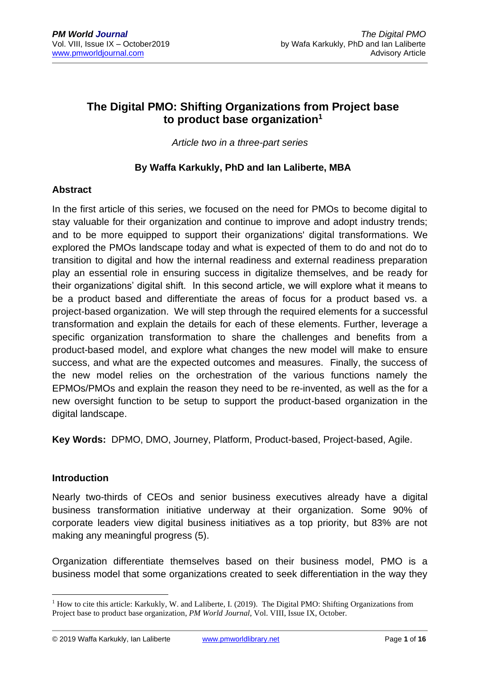# **The Digital PMO: Shifting Organizations from Project base to product base organization<sup>1</sup>**

*Article two in a three-part series*

# **By Waffa Karkukly, PhD and Ian Laliberte, MBA**

# **Abstract**

In the first article of this series, we focused on the need for PMOs to become digital to stay valuable for their organization and continue to improve and adopt industry trends; and to be more equipped to support their organizations' digital transformations. We explored the PMOs landscape today and what is expected of them to do and not do to transition to digital and how the internal readiness and external readiness preparation play an essential role in ensuring success in digitalize themselves, and be ready for their organizations' digital shift. In this second article, we will explore what it means to be a product based and differentiate the areas of focus for a product based vs. a project-based organization. We will step through the required elements for a successful transformation and explain the details for each of these elements. Further, leverage a specific organization transformation to share the challenges and benefits from a product-based model, and explore what changes the new model will make to ensure success, and what are the expected outcomes and measures. Finally, the success of the new model relies on the orchestration of the various functions namely the EPMOs/PMOs and explain the reason they need to be re-invented, as well as the for a new oversight function to be setup to support the product-based organization in the digital landscape.

**Key Words:** DPMO, DMO, Journey, Platform, Product-based, Project-based, Agile.

#### **Introduction**

Nearly two-thirds of CEOs and senior business executives already have a digital business transformation initiative underway at their organization. Some 90% of corporate leaders view digital business initiatives as a top priority, but 83% are not making any meaningful progress (5).

Organization differentiate themselves based on their business model, PMO is a business model that some organizations created to seek differentiation in the way they

© 2019 Waffa Karkukly, Ian Laliberte [www.pmworldlibrary.net](http://www.pmworldlibrary.net/) Page **1** of **16**

<sup>&</sup>lt;sup>1</sup> How to cite this article: Karkukly, W. and Laliberte, I. (2019). The Digital PMO: Shifting Organizations from Project base to product base organization, *PM World Journal*, Vol. VIII, Issue IX, October.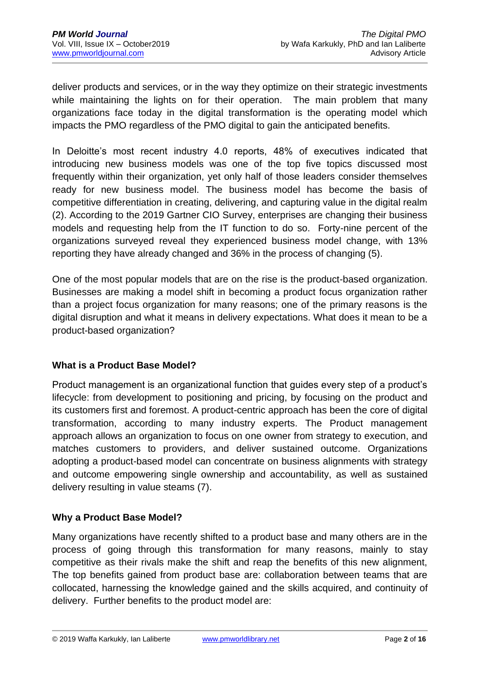deliver products and services, or in the way they optimize on their strategic investments while maintaining the lights on for their operation. The main problem that many organizations face today in the digital transformation is the operating model which impacts the PMO regardless of the PMO digital to gain the anticipated benefits.

In Deloitte's most recent industry 4.0 reports, 48% of executives indicated that introducing new business models was one of the top five topics discussed most frequently within their organization, yet only half of those leaders consider themselves ready for new business model. The business model has become the basis of competitive differentiation in creating, delivering, and capturing value in the digital realm (2). According to the 2019 Gartner CIO Survey, enterprises are changing their business models and requesting help from the IT function to do so. Forty-nine percent of the organizations surveyed reveal they experienced business model change, with 13% reporting they have already changed and 36% in the process of changing (5).

One of the most popular models that are on the rise is the product-based organization. Businesses are making a model shift in becoming a product focus organization rather than a project focus organization for many reasons; one of the primary reasons is the digital disruption and what it means in delivery expectations. What does it mean to be a product-based organization?

#### **What is a Product Base Model?**

Product management is an organizational function that guides every step of a product's lifecycle: from development to positioning and pricing, by focusing on the product and its customers first and foremost. A product-centric approach has been the core of digital transformation, according to many industry experts. The Product management approach allows an organization to focus on one owner from strategy to execution, and matches customers to providers, and deliver sustained outcome. Organizations adopting a product-based model can concentrate on business alignments with strategy and outcome empowering single ownership and accountability, as well as sustained delivery resulting in value steams (7).

#### **Why a Product Base Model?**

Many organizations have recently shifted to a product base and many others are in the process of going through this transformation for many reasons, mainly to stay competitive as their rivals make the shift and reap the benefits of this new alignment, The top benefits gained from product base are: collaboration between teams that are collocated, harnessing the knowledge gained and the skills acquired, and continuity of delivery. Further benefits to the product model are: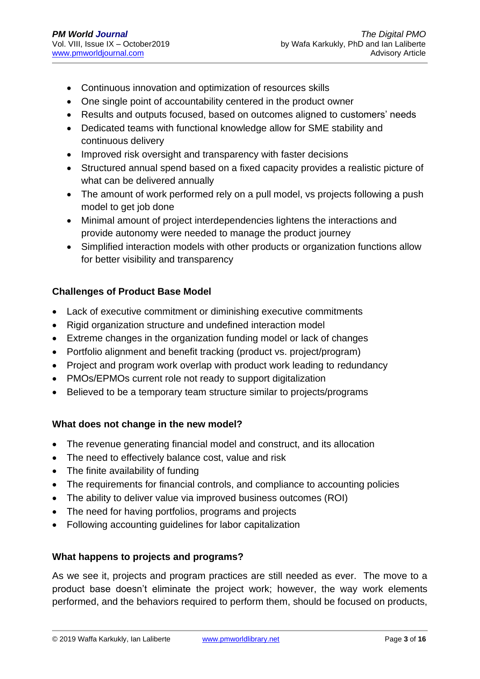- Continuous innovation and optimization of resources skills
- One single point of accountability centered in the product owner
- Results and outputs focused, based on outcomes aligned to customers' needs
- Dedicated teams with functional knowledge allow for SME stability and continuous delivery
- Improved risk oversight and transparency with faster decisions
- Structured annual spend based on a fixed capacity provides a realistic picture of what can be delivered annually
- The amount of work performed rely on a pull model, vs projects following a push model to get job done
- Minimal amount of project interdependencies lightens the interactions and provide autonomy were needed to manage the product journey
- Simplified interaction models with other products or organization functions allow for better visibility and transparency

# **Challenges of Product Base Model**

- Lack of executive commitment or diminishing executive commitments
- Rigid organization structure and undefined interaction model
- Extreme changes in the organization funding model or lack of changes
- Portfolio alignment and benefit tracking (product vs. project/program)
- Project and program work overlap with product work leading to redundancy
- PMOs/EPMOs current role not ready to support digitalization
- Believed to be a temporary team structure similar to projects/programs

# **What does not change in the new model?**

- The revenue generating financial model and construct, and its allocation
- The need to effectively balance cost, value and risk
- The finite availability of funding
- The requirements for financial controls, and compliance to accounting policies
- The ability to deliver value via improved business outcomes (ROI)
- The need for having portfolios, programs and projects
- Following accounting guidelines for labor capitalization

# **What happens to projects and programs?**

As we see it, projects and program practices are still needed as ever. The move to a product base doesn't eliminate the project work; however, the way work elements performed, and the behaviors required to perform them, should be focused on products,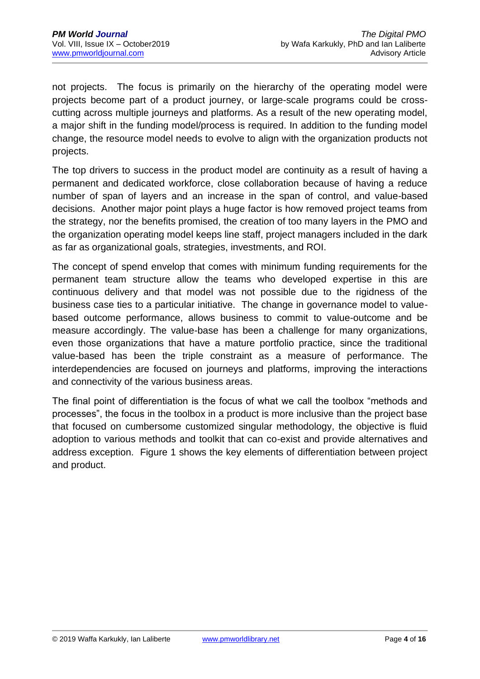not projects. The focus is primarily on the hierarchy of the operating model were projects become part of a product journey, or large-scale programs could be crosscutting across multiple journeys and platforms. As a result of the new operating model, a major shift in the funding model/process is required. In addition to the funding model change, the resource model needs to evolve to align with the organization products not projects.

The top drivers to success in the product model are continuity as a result of having a permanent and dedicated workforce, close collaboration because of having a reduce number of span of layers and an increase in the span of control, and value-based decisions. Another major point plays a huge factor is how removed project teams from the strategy, nor the benefits promised, the creation of too many layers in the PMO and the organization operating model keeps line staff, project managers included in the dark as far as organizational goals, strategies, investments, and ROI.

The concept of spend envelop that comes with minimum funding requirements for the permanent team structure allow the teams who developed expertise in this are continuous delivery and that model was not possible due to the rigidness of the business case ties to a particular initiative. The change in governance model to valuebased outcome performance, allows business to commit to value-outcome and be measure accordingly. The value-base has been a challenge for many organizations, even those organizations that have a mature portfolio practice, since the traditional value-based has been the triple constraint as a measure of performance. The interdependencies are focused on journeys and platforms, improving the interactions and connectivity of the various business areas.

The final point of differentiation is the focus of what we call the toolbox "methods and processes", the focus in the toolbox in a product is more inclusive than the project base that focused on cumbersome customized singular methodology, the objective is fluid adoption to various methods and toolkit that can co-exist and provide alternatives and address exception. Figure 1 shows the key elements of differentiation between project and product.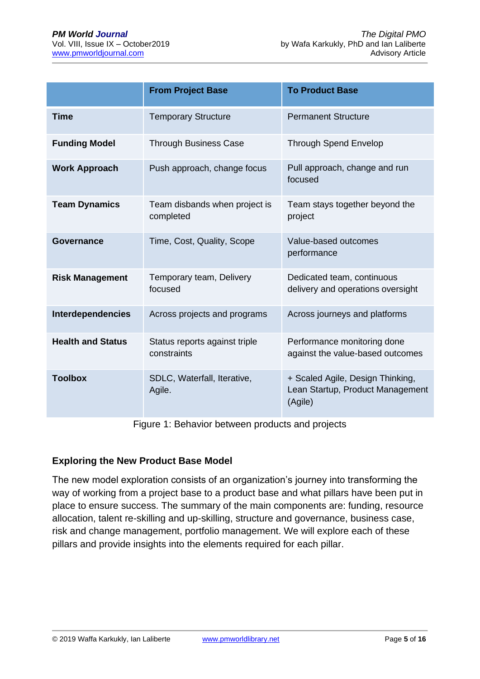|                          | <b>From Project Base</b>                     | <b>To Product Base</b>                                                          |
|--------------------------|----------------------------------------------|---------------------------------------------------------------------------------|
| <b>Time</b>              | <b>Temporary Structure</b>                   | <b>Permanent Structure</b>                                                      |
| <b>Funding Model</b>     | <b>Through Business Case</b>                 | <b>Through Spend Envelop</b>                                                    |
| <b>Work Approach</b>     | Push approach, change focus                  | Pull approach, change and run<br>focused                                        |
| <b>Team Dynamics</b>     | Team disbands when project is<br>completed   | Team stays together beyond the<br>project                                       |
| <b>Governance</b>        | Time, Cost, Quality, Scope                   | Value-based outcomes<br>performance                                             |
| <b>Risk Management</b>   | Temporary team, Delivery<br>focused          | Dedicated team, continuous<br>delivery and operations oversight                 |
| <b>Interdependencies</b> | Across projects and programs                 | Across journeys and platforms                                                   |
| <b>Health and Status</b> | Status reports against triple<br>constraints | Performance monitoring done<br>against the value-based outcomes                 |
| <b>Toolbox</b>           | SDLC, Waterfall, Iterative,<br>Agile.        | + Scaled Agile, Design Thinking,<br>Lean Startup, Product Management<br>(Agile) |

Figure 1: Behavior between products and projects

#### **Exploring the New Product Base Model**

The new model exploration consists of an organization's journey into transforming the way of working from a project base to a product base and what pillars have been put in place to ensure success. The summary of the main components are: funding, resource allocation, talent re-skilling and up-skilling, structure and governance, business case, risk and change management, portfolio management. We will explore each of these pillars and provide insights into the elements required for each pillar.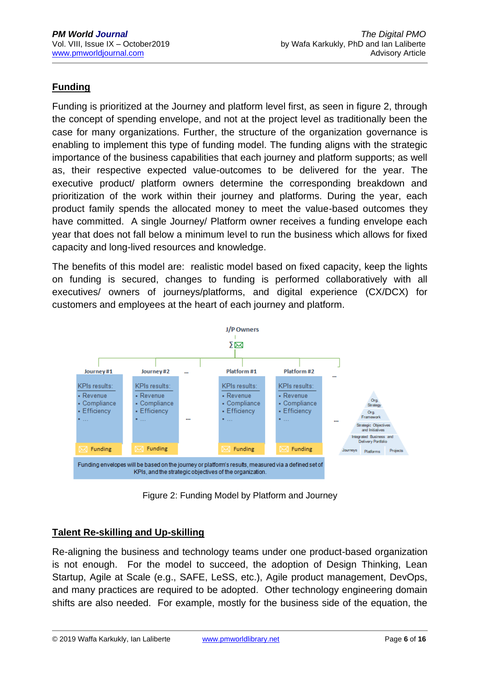# **Funding**

Funding is prioritized at the Journey and platform level first, as seen in figure 2, through the concept of spending envelope, and not at the project level as traditionally been the case for many organizations. Further, the structure of the organization governance is enabling to implement this type of funding model. The funding aligns with the strategic importance of the business capabilities that each journey and platform supports; as well as, their respective expected value-outcomes to be delivered for the year. The executive product/ platform owners determine the corresponding breakdown and prioritization of the work within their journey and platforms. During the year, each product family spends the allocated money to meet the value-based outcomes they have committed. A single Journey/ Platform owner receives a funding envelope each year that does not fall below a minimum level to run the business which allows for fixed capacity and long-lived resources and knowledge.

The benefits of this model are: realistic model based on fixed capacity, keep the lights on funding is secured, changes to funding is performed collaboratively with all executives/ owners of journeys/platforms, and digital experience (CX/DCX) for customers and employees at the heart of each journey and platform.



Figure 2: Funding Model by Platform and Journey

# **Talent Re-skilling and Up-skilling**

Re-aligning the business and technology teams under one product-based organization is not enough. For the model to succeed, the adoption of Design Thinking, Lean Startup, Agile at Scale (e.g., SAFE, LeSS, etc.), Agile product management, DevOps, and many practices are required to be adopted. Other technology engineering domain shifts are also needed. For example, mostly for the business side of the equation, the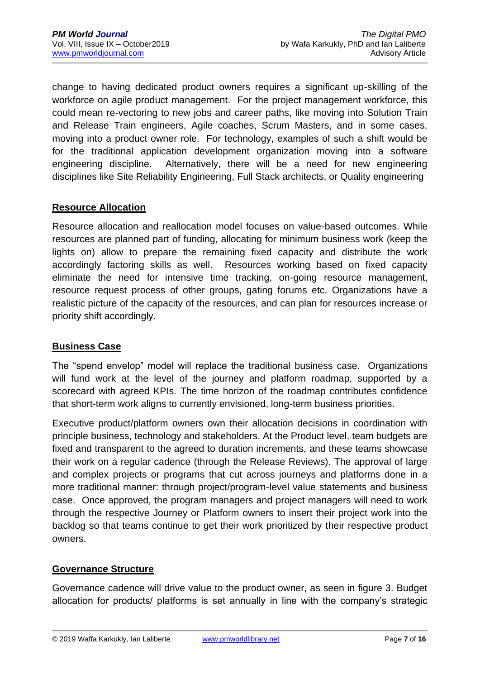change to having dedicated product owners requires a significant up-skilling of the workforce on agile product management. For the project management workforce, this could mean re-vectoring to new jobs and career paths, like moving into Solution Train and Release Train engineers, Agile coaches, Scrum Masters, and in some cases, moving into a product owner role. For technology, examples of such a shift would be for the traditional application development organization moving into a software engineering discipline. Alternatively, there will be a need for new engineering disciplines like Site Reliability Engineering, Full Stack architects, or Quality engineering

#### **Resource Allocation**

Resource allocation and reallocation model focuses on value-based outcomes. While resources are planned part of funding, allocating for minimum business work (keep the lights on) allow to prepare the remaining fixed capacity and distribute the work accordingly factoring skills as well. Resources working based on fixed capacity eliminate the need for intensive time tracking, on-going resource management, resource request process of other groups, gating forums etc. Organizations have a realistic picture of the capacity of the resources, and can plan for resources increase or priority shift accordingly.

# **Business Case**

The "spend envelop" model will replace the traditional business case. Organizations will fund work at the level of the journey and platform roadmap, supported by a scorecard with agreed KPIs. The time horizon of the roadmap contributes confidence that short-term work aligns to currently envisioned, long-term business priorities.

Executive product/platform owners own their allocation decisions in coordination with principle business, technology and stakeholders. At the Product level, team budgets are fixed and transparent to the agreed to duration increments, and these teams showcase their work on a regular cadence (through the Release Reviews). The approval of large and complex projects or programs that cut across journeys and platforms done in a more traditional manner: through project/program-level value statements and business case. Once approved, the program managers and project managers will need to work through the respective Journey or Platform owners to insert their project work into the backlog so that teams continue to get their work prioritized by their respective product owners.

#### **Governance Structure**

Governance cadence will drive value to the product owner, as seen in figure 3. Budget allocation for products/ platforms is set annually in line with the company's strategic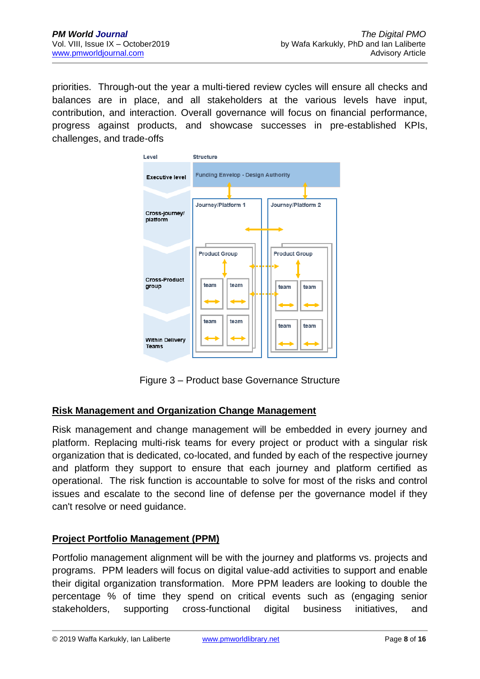priorities. Through-out the year a multi-tiered review cycles will ensure all checks and balances are in place, and all stakeholders at the various levels have input, contribution, and interaction. Overall governance will focus on financial performance, progress against products, and showcase successes in pre-established KPIs, challenges, and trade-offs



Figure 3 – Product base Governance Structure

# **Risk Management and Organization Change Management**

Risk management and change management will be embedded in every journey and platform. Replacing multi-risk teams for every project or product with a singular risk organization that is dedicated, co-located, and funded by each of the respective journey and platform they support to ensure that each journey and platform certified as operational. The risk function is accountable to solve for most of the risks and control issues and escalate to the second line of defense per the governance model if they can't resolve or need guidance.

# **Project Portfolio Management (PPM)**

Portfolio management alignment will be with the journey and platforms vs. projects and programs. PPM leaders will focus on digital value-add activities to support and enable their digital organization transformation. More PPM leaders are looking to double the percentage % of time they spend on critical events such as (engaging senior stakeholders, supporting cross-functional digital business initiatives, and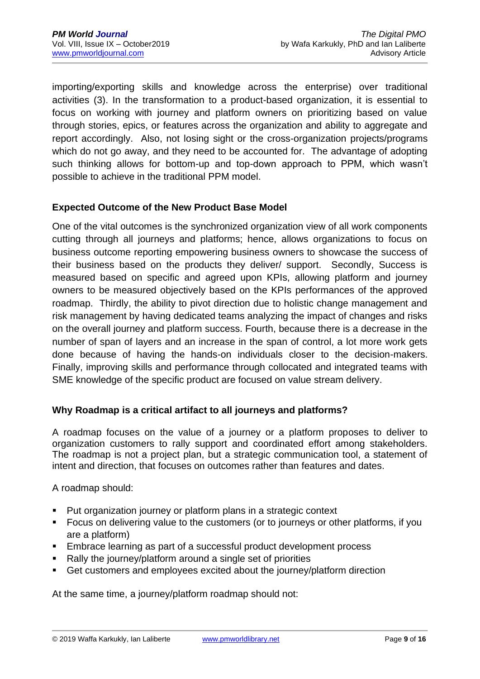importing/exporting skills and knowledge across the enterprise) over traditional activities (3). In the transformation to a product-based organization, it is essential to focus on working with journey and platform owners on prioritizing based on value through stories, epics, or features across the organization and ability to aggregate and report accordingly. Also, not losing sight or the cross-organization projects/programs which do not go away, and they need to be accounted for. The advantage of adopting such thinking allows for bottom-up and top-down approach to PPM, which wasn't possible to achieve in the traditional PPM model.

#### **Expected Outcome of the New Product Base Model**

One of the vital outcomes is the synchronized organization view of all work components cutting through all journeys and platforms; hence, allows organizations to focus on business outcome reporting empowering business owners to showcase the success of their business based on the products they deliver/ support. Secondly, Success is measured based on specific and agreed upon KPIs, allowing platform and journey owners to be measured objectively based on the KPIs performances of the approved roadmap. Thirdly, the ability to pivot direction due to holistic change management and risk management by having dedicated teams analyzing the impact of changes and risks on the overall journey and platform success. Fourth, because there is a decrease in the number of span of layers and an increase in the span of control, a lot more work gets done because of having the hands-on individuals closer to the decision-makers. Finally, improving skills and performance through collocated and integrated teams with SME knowledge of the specific product are focused on value stream delivery.

# **Why Roadmap is a critical artifact to all journeys and platforms?**

A roadmap focuses on the value of a journey or a platform proposes to deliver to organization customers to rally support and coordinated effort among stakeholders. The roadmap is not a project plan, but a strategic communication tool, a statement of intent and direction, that focuses on outcomes rather than features and dates.

A roadmap should:

- Put organization journey or platform plans in a strategic context
- Focus on delivering value to the customers (or to journeys or other platforms, if you are a platform)
- Embrace learning as part of a successful product development process
- Rally the journey/platform around a single set of priorities
- Get customers and employees excited about the journey/platform direction

At the same time, a journey/platform roadmap should not: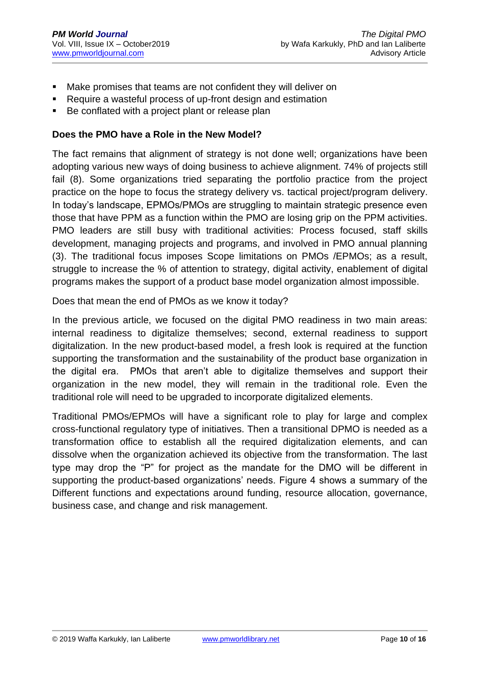- Make promises that teams are not confident they will deliver on
- Require a wasteful process of up-front design and estimation
- Be conflated with a project plant or release plan

#### **Does the PMO have a Role in the New Model?**

The fact remains that alignment of strategy is not done well; organizations have been adopting various new ways of doing business to achieve alignment. 74% of projects still fail (8). Some organizations tried separating the portfolio practice from the project practice on the hope to focus the strategy delivery vs. tactical project/program delivery. In today's landscape, EPMOs/PMOs are struggling to maintain strategic presence even those that have PPM as a function within the PMO are losing grip on the PPM activities. PMO leaders are still busy with traditional activities: Process focused, staff skills development, managing projects and programs, and involved in PMO annual planning (3). The traditional focus imposes Scope limitations on PMOs /EPMOs; as a result, struggle to increase the % of attention to strategy, digital activity, enablement of digital programs makes the support of a product base model organization almost impossible.

Does that mean the end of PMOs as we know it today?

In the previous article, we focused on the digital PMO readiness in two main areas: internal readiness to digitalize themselves; second, external readiness to support digitalization. In the new product-based model, a fresh look is required at the function supporting the transformation and the sustainability of the product base organization in the digital era. PMOs that aren't able to digitalize themselves and support their organization in the new model, they will remain in the traditional role. Even the traditional role will need to be upgraded to incorporate digitalized elements.

Traditional PMOs/EPMOs will have a significant role to play for large and complex cross-functional regulatory type of initiatives. Then a transitional DPMO is needed as a transformation office to establish all the required digitalization elements, and can dissolve when the organization achieved its objective from the transformation. The last type may drop the "P" for project as the mandate for the DMO will be different in supporting the product-based organizations' needs. Figure 4 shows a summary of the Different functions and expectations around funding, resource allocation, governance, business case, and change and risk management.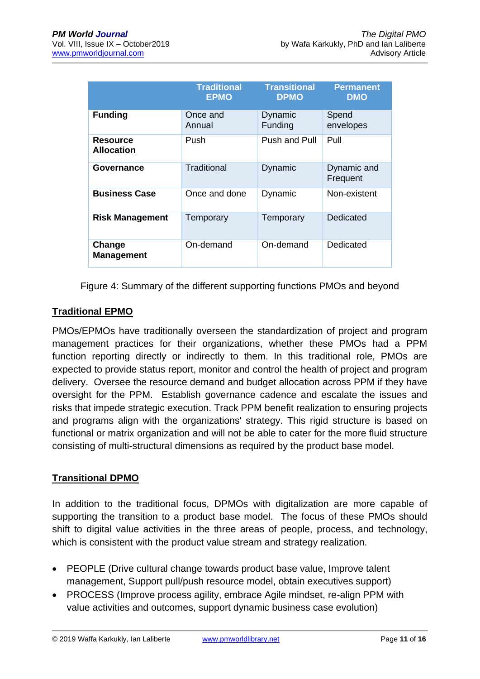|                                      | <b>Traditional</b><br><b>EPMO</b> | <b>Transitional</b><br><b>DPMO</b> | <b>Permanent</b><br><b>DMO</b> |
|--------------------------------------|-----------------------------------|------------------------------------|--------------------------------|
| <b>Funding</b>                       | Once and<br>Annual                | Dynamic<br>Funding                 | Spend<br>envelopes             |
| <b>Resource</b><br><b>Allocation</b> | Push                              | Push and Pull                      | Pull                           |
| Governance                           | Traditional                       | Dynamic                            | Dynamic and<br>Frequent        |
| <b>Business Case</b>                 | Once and done                     | Dynamic                            | Non-existent                   |
| <b>Risk Management</b>               | Temporary                         | Temporary                          | Dedicated                      |
| Change<br><b>Management</b>          | On-demand                         | On-demand                          | Dedicated                      |

Figure 4: Summary of the different supporting functions PMOs and beyond

# **Traditional EPMO**

PMOs/EPMOs have traditionally overseen the standardization of project and program management practices for their organizations, whether these PMOs had a PPM function reporting directly or indirectly to them. In this traditional role, PMOs are expected to provide status report, monitor and control the health of project and program delivery. Oversee the resource demand and budget allocation across PPM if they have oversight for the PPM. Establish governance cadence and escalate the issues and risks that impede strategic execution. Track PPM benefit realization to ensuring projects and programs align with the organizations' strategy. This rigid structure is based on functional or matrix organization and will not be able to cater for the more fluid structure consisting of multi-structural dimensions as required by the product base model.

# **Transitional DPMO**

In addition to the traditional focus, DPMOs with digitalization are more capable of supporting the transition to a product base model. The focus of these PMOs should shift to digital value activities in the three areas of people, process, and technology, which is consistent with the product value stream and strategy realization.

- PEOPLE (Drive cultural change towards product base value, Improve talent management, Support pull/push resource model, obtain executives support)
- PROCESS (Improve process agility, embrace Agile mindset, re-align PPM with value activities and outcomes, support dynamic business case evolution)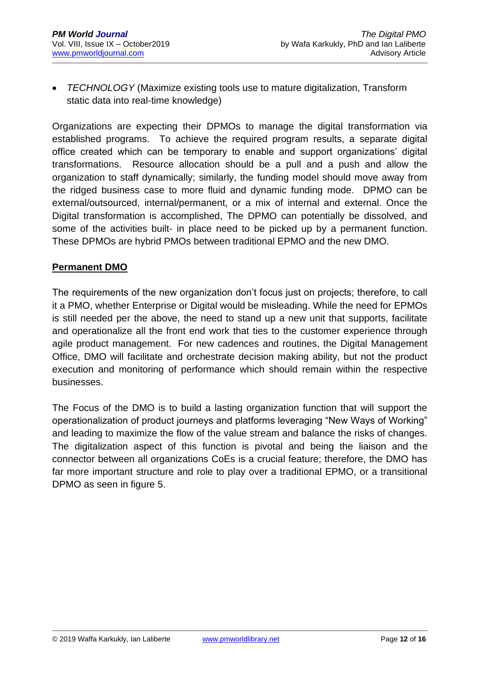• *TECHNOLOGY* (Maximize existing tools use to mature digitalization, Transform static data into real-time knowledge)

Organizations are expecting their DPMOs to manage the digital transformation via established programs. To achieve the required program results, a separate digital office created which can be temporary to enable and support organizations' digital transformations. Resource allocation should be a pull and a push and allow the organization to staff dynamically; similarly, the funding model should move away from the ridged business case to more fluid and dynamic funding mode. DPMO can be external/outsourced, internal/permanent, or a mix of internal and external. Once the Digital transformation is accomplished, The DPMO can potentially be dissolved, and some of the activities built- in place need to be picked up by a permanent function. These DPMOs are hybrid PMOs between traditional EPMO and the new DMO.

#### **Permanent DMO**

The requirements of the new organization don't focus just on projects; therefore, to call it a PMO, whether Enterprise or Digital would be misleading. While the need for EPMOs is still needed per the above, the need to stand up a new unit that supports, facilitate and operationalize all the front end work that ties to the customer experience through agile product management. For new cadences and routines, the Digital Management Office, DMO will facilitate and orchestrate decision making ability, but not the product execution and monitoring of performance which should remain within the respective businesses.

The Focus of the DMO is to build a lasting organization function that will support the operationalization of product journeys and platforms leveraging "New Ways of Working" and leading to maximize the flow of the value stream and balance the risks of changes. The digitalization aspect of this function is pivotal and being the liaison and the connector between all organizations CoEs is a crucial feature; therefore, the DMO has far more important structure and role to play over a traditional EPMO, or a transitional DPMO as seen in figure 5.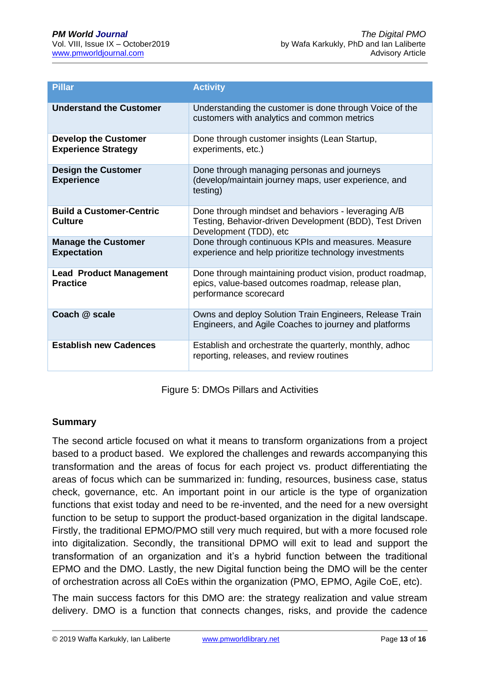| <b>Pillar</b>                                             | <b>Activity</b>                                                                                                                          |
|-----------------------------------------------------------|------------------------------------------------------------------------------------------------------------------------------------------|
| <b>Understand the Customer</b>                            | Understanding the customer is done through Voice of the<br>customers with analytics and common metrics                                   |
| <b>Develop the Customer</b><br><b>Experience Strategy</b> | Done through customer insights (Lean Startup,<br>experiments, etc.)                                                                      |
| <b>Design the Customer</b><br><b>Experience</b>           | Done through managing personas and journeys<br>(develop/maintain journey maps, user experience, and<br>testing)                          |
| <b>Build a Customer-Centric</b><br>Culture                | Done through mindset and behaviors - leveraging A/B<br>Testing, Behavior-driven Development (BDD), Test Driven<br>Development (TDD), etc |
| <b>Manage the Customer</b><br><b>Expectation</b>          | Done through continuous KPIs and measures. Measure<br>experience and help prioritize technology investments                              |
| <b>Lead Product Management</b><br><b>Practice</b>         | Done through maintaining product vision, product roadmap,<br>epics, value-based outcomes roadmap, release plan,<br>performance scorecard |
| Coach @ scale                                             | Owns and deploy Solution Train Engineers, Release Train<br>Engineers, and Agile Coaches to journey and platforms                         |
| <b>Establish new Cadences</b>                             | Establish and orchestrate the quarterly, monthly, adhoc<br>reporting, releases, and review routines                                      |

Figure 5: DMOs Pillars and Activities

#### **Summary**

The second article focused on what it means to transform organizations from a project based to a product based. We explored the challenges and rewards accompanying this transformation and the areas of focus for each project vs. product differentiating the areas of focus which can be summarized in: funding, resources, business case, status check, governance, etc. An important point in our article is the type of organization functions that exist today and need to be re-invented, and the need for a new oversight function to be setup to support the product-based organization in the digital landscape. Firstly, the traditional EPMO/PMO still very much required, but with a more focused role into digitalization. Secondly, the transitional DPMO will exit to lead and support the transformation of an organization and it's a hybrid function between the traditional EPMO and the DMO. Lastly, the new Digital function being the DMO will be the center of orchestration across all CoEs within the organization (PMO, EPMO, Agile CoE, etc).

The main success factors for this DMO are: the strategy realization and value stream delivery. DMO is a function that connects changes, risks, and provide the cadence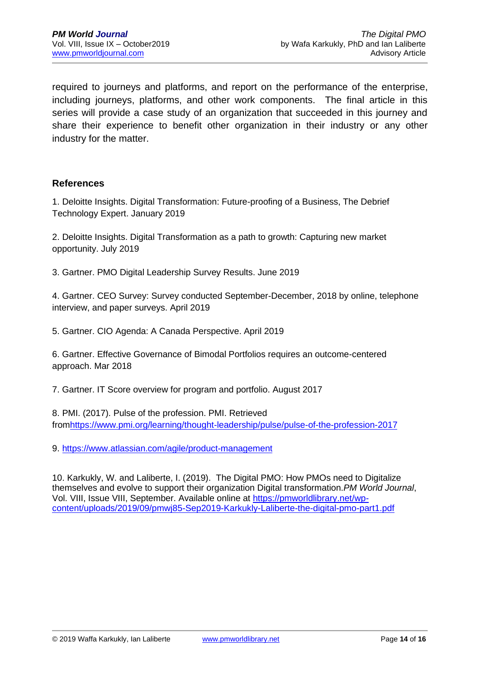required to journeys and platforms, and report on the performance of the enterprise, including journeys, platforms, and other work components. The final article in this series will provide a case study of an organization that succeeded in this journey and share their experience to benefit other organization in their industry or any other industry for the matter.

#### **References**

1. Deloitte Insights. Digital Transformation: Future-proofing of a Business, The Debrief Technology Expert. January 2019

2. Deloitte Insights. Digital Transformation as a path to growth: Capturing new market opportunity. July 2019

3. Gartner. PMO Digital Leadership Survey Results. June 2019

4. Gartner. CEO Survey: Survey conducted September-December, 2018 by online, telephone interview, and paper surveys. April 2019

5. Gartner. CIO Agenda: A Canada Perspective. April 2019

6. Gartner. Effective Governance of Bimodal Portfolios requires an outcome-centered approach. Mar 2018

7. Gartner. IT Score overview for program and portfolio. August 2017

8. PMI. (2017). Pulse of the profession. PMI. Retrieved fro[mhttps://www.pmi.org/learning/thought-leadership/pulse/pulse-of-the-profession-2017](https://www.pmi.org/learning/thought-leadership/pulse/pulse-of-the-profession-2017)

9.<https://www.atlassian.com/agile/product-management>

10. Karkukly, W. and Laliberte, I. (2019). The Digital PMO: How PMOs need to Digitalize themselves and evolve to support their organization Digital transformation.*PM World Journal*, Vol. VIII, Issue VIII, September. Available online at [https://pmworldlibrary.net/wp](https://pmworldlibrary.net/wp-content/uploads/2019/09/pmwj85-Sep2019-Karkukly-Laliberte-the-digital-pmo-part1.pdf)[content/uploads/2019/09/pmwj85-Sep2019-Karkukly-Laliberte-the-digital-pmo-part1.pdf](https://pmworldlibrary.net/wp-content/uploads/2019/09/pmwj85-Sep2019-Karkukly-Laliberte-the-digital-pmo-part1.pdf)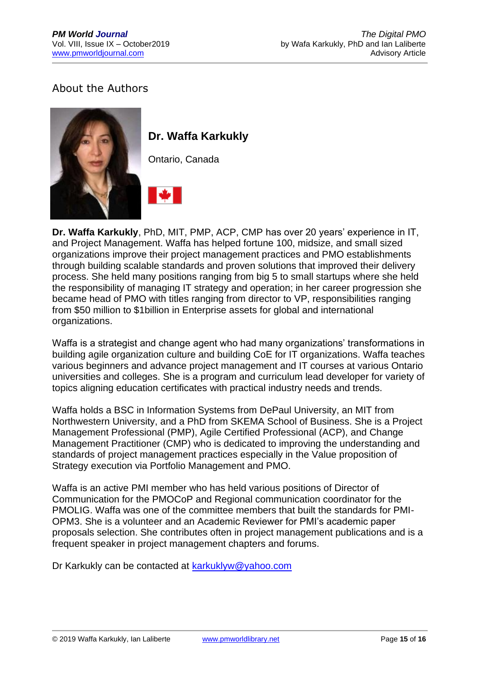# About the Authors

![](_page_14_Picture_3.jpeg)

# **Dr. Waffa Karkukly**

Ontario, Canada

![](_page_14_Picture_6.jpeg)

**Dr. Waffa Karkukly**, PhD, MIT, PMP, ACP, CMP has over 20 years' experience in IT, and Project Management. Waffa has helped fortune 100, midsize, and small sized organizations improve their project management practices and PMO establishments through building scalable standards and proven solutions that improved their delivery process. She held many positions ranging from big 5 to small startups where she held the responsibility of managing IT strategy and operation; in her career progression she became head of PMO with titles ranging from director to VP, responsibilities ranging from \$50 million to \$1billion in Enterprise assets for global and international organizations.

Waffa is a strategist and change agent who had many organizations' transformations in building agile organization culture and building CoE for IT organizations. Waffa teaches various beginners and advance project management and IT courses at various Ontario universities and colleges. She is a program and curriculum lead developer for variety of topics aligning education certificates with practical industry needs and trends.

Waffa holds a BSC in Information Systems from DePaul University, an MIT from Northwestern University, and a PhD from SKEMA School of Business. She is a Project Management Professional (PMP), Agile Certified Professional (ACP), and Change Management Practitioner (CMP) who is dedicated to improving the understanding and standards of project management practices especially in the Value proposition of Strategy execution via Portfolio Management and PMO.

Waffa is an active PMI member who has held various positions of Director of Communication for the PMOCoP and Regional communication coordinator for the PMOLIG. Waffa was one of the committee members that built the standards for PMI-OPM3. She is a volunteer and an Academic Reviewer for PMI's academic paper proposals selection. She contributes often in project management publications and is a frequent speaker in project management chapters and forums.

Dr Karkukly can be contacted at **karkuklyw@yahoo.com**